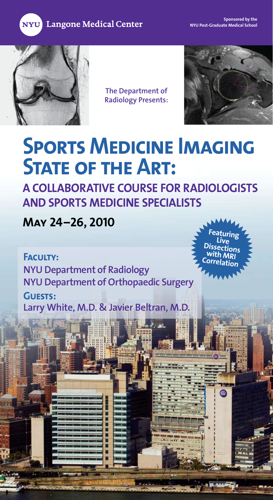

**The Department of Radiology Presents:**



## **Sports Medicine Imaging State of the Art:**

**A COLLABORATIVE COURSE FOR RADIOLOGISTS AND SPORTS MEDICINE SPECIALISTS**

**May 24–26, 2010**

**Faculty: NYU Department of Radiology NYU Department of Orthopaedic Surgery**

**Guests: Larry White, M.D. & Javier Beltran, M.D.**

П



e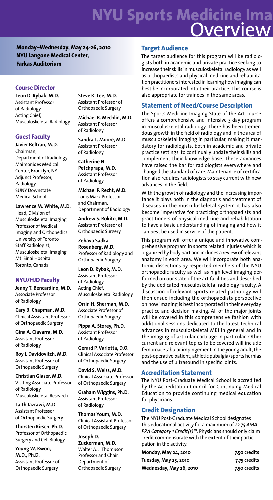## **NYU Sports Medicine Ima** Overview

**Monday–Wednesday, May 24-26, 2010 NYU Langone Medical Center, Farkas Auditorium**

#### **Course Director**

**Leon D. Rybak, M.D.** Assistant Professor of Radiology Acting Chief, Musculoskeletal Radiology

#### **Guest Faculty**

**Javier Beltran, M.D.** Chairman, Department of Radiology Maimonides Medical Center, Brooklyn, NY Adjunct Professor, Radiology SUNY Downstate Medical School

**Lawrence M. White, M.D.** Head, Division of Musculoskeletal Imaging Professor of Medical Imaging and Orthopedics University of Toronto Staff Radiologist, Musculoskeletal Imaging Mt. Sinai Hospital, Toronto, Canada

#### **NYU/HJD Faculty**

**Jenny T. Bencardino, M.D.** Associate Professor of Radiology

**Cary B. Chapman, M.D.** Clinical Assistant Professor of Orthopaedic Surgery

**Gina A. Ciavarra, M.D.** Assistant Professor of Radiology

**Roy I. Davidovitch, M.D.** Assistant Professor of Orthopaedic Surgery

**Christian Glaser, M.D.** Visiting Associate Professor of Radiology Musculoskeletal Research

**Laith Jazrawi, M.D.** Assistant Professor of Orthopaedic Surgery

**Thorsten Kirsch, Ph.D.** Professor of Orthopaedic Surgery and Cell Biology

**Young W. Kwon, M.D., Ph.D.** Assistant Professor of Orthopaedic Surgery

**Steve K. Lee, M.D.** Assistant Professor of Orthopaedic Surgery

**Michael B. Mechlin, M.D.** Assistant Professor of Radiology

**Sandra L. Moore, M.D.** Assistant Professor of Radiology

**Catherine N. Petchprapa, M.D.** Assistant Professor of Radiology

**Michael P. Recht, M.D.** Louis Marx Professor and Chairman, Department of Radiology

**Andrew S. Rokito, M.D.** Assistant Professor of Orthopaedic Surgery

**Zehava Sadka Rosenberg, M.D.** Professor of Radiology and Orthopaedic Surgery

**Leon D. Rybak, M.D.** Assistant Professor of Radiology Acting Chief, Musculoskeletal Radiology

**Orrin H. Sherman, M.D.** Associate Professor of Orthopaedic Surgery

**Pippa A. Storey, Ph.D.** Assistant Professor of Radiology

**Gerard P. Varlotta, D.O.** Clinical Associate Professor of Orthopaedic Surgery

**David S. Weiss, M.D.** Clinical Associate Professor of Orthopaedic Surgery

**Graham Wiggins, Ph.D.** Assistant Professor of Radiology

**Thomas Youm, M.D.** Clinical Assistant Professor of Orthopaedic Surgery

**Joseph D. Zuckerman, M.D.** Walter A.L. Thompson Professor and Chair, Department of Orthopaedic Surgery

#### **Target Audience**

The target audience for this program will be radiologists both in academic and private practice seeking to increase their skills in musculoskeletal radiology as well as orthopaedists and physical medicine and rehabilitation practitioners interested in learning howimaging can best be incorporated into their practice. This course is also appropriate for trainees in the same areas.

#### **Statement of Need/Course Description**

The Sports Medicine Imaging State of the Art course offers a comprehensive and intensive 3 day program in musculoskeletal radiology. There has been tremendous growth in the field of radiology and in the area of musculoskeletal imaging in particular, making it mandatory for radiologists, both in academic and private practice settings, to continually update their skills and complement their knowledge base. These advances have raised the bar for radiologists everywhere and changed the standard of care. Maintenance of certification also requires radiologists to stay current with new advances in the field.

With the growth of radiology and the increasing importance it plays both in the diagnosis and treatment of diseases in the musculoskeletal system it has also become imperative for practicing orthopaedists and practitioners of physical medicine and rehabilitation to have a basic understanding of imaging and how it can best be used in service of the patient.

This program will offer a unique and innovative comprehensive program in sports related injuries which is organized by body part and includes a review of relevant anatomy in each area. We will incorporate both anatomic dissections by respected members of the NYU orthopaedic faculty as well as high level imaging performed on our state of the art facilities and described by the dedicated musculoskeletal radiology faculty. A discussion of relevant sports related pathology will then ensue including the orthopaedists perspective on how imaging is best incorporated in their everyday practice and decision making. All of the major joints will be covered in this comprehensive fashion with additional sessions dedicated to the latest technical advances in musculoskeletal MRI in general and in the imaging of articular cartilage in particular. Other current and relevant topics to be covered will include femoroacetabular impingement in the young adult, the post-operative patient, athletic pubalgia/sports hernias and the use of ultrasound in specific joints.

#### **Accreditation Statement**

The NYU Post-Graduate Medical School is accredited by the Accreditation Council for Continuing Medical Education to provide continuing medical education for physicians.

#### **Credit Designation**

The NYU Post-Graduate Medical School designates this educational activity for a maximum of *22.75 AMA PRA Category 1 Credit(s)™*. Physicians should only claim credit commensurate with the extent of their participation in the activity.

| Monday, May 24, 2010    | 7.50 credits |
|-------------------------|--------------|
| Tuesday, May 25, 2010   | 7.75 credits |
| Wednesday, May 26, 2010 | 7.50 credits |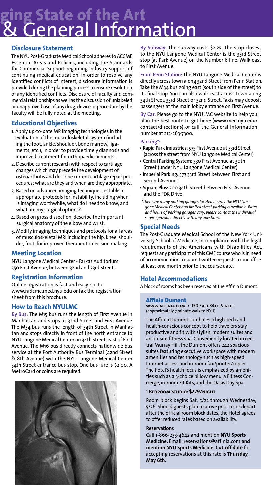## **ging State of the Art** & General Information

#### **Disclosure Statement**

The NYU Post-Graduate Medical School adheres to ACCME Essential Areas and Policies, including the Standards for Commercial Support regarding industry support of continuing medical education. In order to resolve any identified conflicts of interest, disclosure information is provided during the planning process to ensure resolution of any identified conflicts. Disclosure of faculty and commercial relationships as well as the discussion of unlabeled or unapproved use of any drug, device or procedure by the faculty will be fully noted at the meeting.

#### **Educational Objectives**

- 1. Apply up-to-date MR imaging technologies in the evaluation of the musculoskeletal system (including the foot, ankle, shoulder, bone marrow, ligaments, etc.), in order to provide timely diagnosis and improved treatment for orthopaedic ailments.
- 2. Describe current research with respect to cartilage changes which may precede the development of osteoarthritis and describe current cartilage repair procedures: what are they and when are they appropriate.
- 3. Based on advanced imaging techniques, establish appropriate protocols for instability, including when is imaging worthwhile, what do I need to know, and what are my surgical options?
- 4. Based on gross dissection, describe the important surgical anatomy of the elbow and wrist.
- 5. Modify imaging techniques and protocols for all areas of musculoskeletal MRI including the hip, knee, shoulder, foot, for improved therapeutic decision making.

#### **Meeting Location**

NYU Langone Medical Center - Farkas Auditorium 550 First Avenue, between 32nd and 33rd Streets

#### **Registration Information**

Online registration is fast and easy. Go to www.radcme.med.nyu.edu or fax the registration sheet from this brochure.

#### **How to Reach NYULMC**

**By Bus:** The M15 bus runs the length of First Avenue in Manhattan and stops at 32nd Street and First Avenue. The M34 bus runs the length of 34th Street in Manhattan and stops directly in front of the north entrance to NYULangone Medical Center on 34th Street, east of First Avenue. The M16 bus directly connects nationwide bus service at the Port Authority Bus Terminal (42nd Street & 8th Avenue) with the NYU Langone Medical Center 34th Street entrance bus stop. One bus fare is \$2.00. A MetroCard or coins are required.



**By Subway:** The subway costs \$2.25. The stop closest to the NYU Langone Medical Center is the 33rd Street stop (at Park Avenue) on the Number 6 line. Walk east to First Avenue.

**From Penn Station:** The NYU Langone Medical Center is directly across town along 32nd Street from Penn Station. Take the M34 bus going east (south side of the street) to its final stop. You can also walk east across town along 34th Street, 33rd Street or 32nd Street. Taxis may deposit passengers at the main lobby entrance on First Avenue.

**By Car:** Please go to the NYULMC website to help you plan the best route to get here: **(www.med.nyu.edu/ contact/directions)** or call the General Information number at 212-263-7300.

**Parking\*:**

- **Rapid Park Industries:** 575 First Avenue at 33rd Street (across the street from NYU Langone Medical Center)
- **Central Parking System:** 530 First Avenue at 30th Street (under NYU Langone Medical Center)
- **Imperial Parking:** 377 33rd Street between First and Second Avenues
- **Square Plus:** 500 34th Street between First Avenue and the FDR Drive
- *\*There are many parking garages located nearby the NYU Langone Medical Center and limited street parking is available. Rates and hours of parking garages vary; please contact the individual service provider directly with any questions.*

#### **Special Needs**

The Post-Graduate Medical School of the New York University School of Medicine, in compliance with the legal requirements of the Americans with Disabilities Act, requests any participant of this CME course who is in need of accommodation to submit written requests to our office at least one month prior to the course date.

#### **Hotel Accommodations**

A block of rooms has been reserved at the Affinia Dumont.

#### Affinia Dumont

**www.affinia.com • 150 East 34th Street (approximately 7 minute walk to NYU)** 

The Affinia Dumont combines a high-tech and health-conscious concept to help travelers stay productive and fit with stylish, modern suites and an on-site fitness spa. Conveniently located in central Murray Hill, the Dumont offers 242 spacious suites featuring executive workspace with modern amenities and technology such as high-speed Internet access and in-room fax/printer/copier. The hotel's health focus is emphasized by amenities such as a 3-choice pillow menu, a Fitness Concierge, in-room Fit Kits, and the Oasis Day Spa.

#### **1 Bedroom Studio: \$229/night**

Room block begins Sat, 5/22 through Wednesday, 5/26. Should guests plan to arrive prior to, or depart after the official room block dates, the Hotel agrees to offer reduced rates based on availability.

#### **Reservations**

Call 1-866-233-4642 and mention **NYU Sports Medicine.** Email:reservations@affinia.com **and mention NYU Sports Medicine. Cut-off date** for accepting reservations at this rate is **Thursday, May 6th.**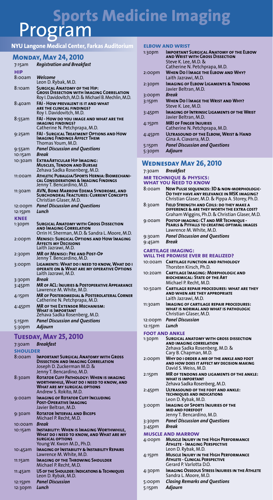# **Sports Medicine Imaging** Program

#### **elbow and wrist NYU Langone Medical Center, Farkas Auditorium**

#### **Monday, May 24, 2010**

| 7:15am      | Registration and Breakfast                                                                                                              |
|-------------|-----------------------------------------------------------------------------------------------------------------------------------------|
| HIP         |                                                                                                                                         |
| 8:00am      | Welcome<br>Leon D. Rybak, M.D.                                                                                                          |
| 8:10am      | Surgical Anatomy of the Hip:<br><b>GROSS DISSECTION WITH IMAGING CORRELATION</b><br>Roy I. Davidovitch, M.D. & Michael B. Mechlin, M.D. |
| 8:40am      | FAI - HOW PREVALENT IS IT AND WHAT<br>ARE THE CLINICAL FINDINGS?<br>Roy I. Davidovitch, M.D.                                            |
| 8:55am      | FAI - HOW DO YOU IMAGE AND WHAT ARE THE<br><b>IMAGING FINDINGS?</b><br>Catherine N. Petchprapa, M.D.                                    |
| 9:25am      | <b>FAI - SURGICAL TREATMENT OPTIONS AND HOW</b><br><b>IMAGING FINDINGS AFFECT THEM</b><br>Thomas Youm, M.D.                             |
| 9:55am      | Panel Discussion and Ouestions                                                                                                          |
| 10:15am     | Break                                                                                                                                   |
| 10:30am     | <b>EXTRAARTICULAR HIP IMAGING:</b><br>Muscles, Tendon and Bursae<br>Zehava Sadka Rosenberg, M.D.                                        |
| 11:00am     | Athletic Pubalgia/Sports Hernia: Biomechani-<br>CAL CONSIDERATIONS & IMAGING FINDINGS<br>Jenny T. Bencardino, M.D.                      |
| 11:30am     | AVN, BONE MARROW EDEMA SYNDROME, AND<br><b>SUBCHONDRAL FRACTURES: CURRENT CONCEPTS</b><br>Christian Glaser, M.D.                        |
| 12:00pm     | Panel Discussion and Ouestions                                                                                                          |
| 12:15pm     | Lunch                                                                                                                                   |
| <b>KNEE</b> |                                                                                                                                         |
| 1:30pm      | Surgical Anatomy with Gross Dissection<br><b>AND IMAGING CORRELATION</b><br>Orrin H. Sherman, M.D. & Sandra L. Moore, M.D.              |
| 2:00pm      | <b>MENISCI: SURGICAL OPTIONS AND HOW IMAGING</b><br><b>AFFECTS MY DECISIONS</b><br>Laith Jazrawi, M.D.                                  |
| 2:30pm      | MR OF MENISCI: PRE AND POST-OP<br>Jenny T. Bencardino, M.D.                                                                             |
| 3:00pm      | LIGAMENTS: WHAT DO I NEED TO KNOW, WHAT DO I<br><b>OPERATE ON &amp; WHAT ARE MY OPERATIVE OPTIONS</b><br>Laith Jazrawi, M.D.            |
| 3:30pm      | Break                                                                                                                                   |
| $3:45$ pm   | <b>MR OF ACL: INJURIES &amp; POSTOPERATIVE APPEARANCE</b><br>Lawrence M. White, M.D.                                                    |
| 4:15pm      | MR OF POSTEROMEDIAL & POSTEROLATERAL CORNER<br>Catherine N. Petchprapa, M.D.                                                            |
| 4:45pm      | <b>MR OF THE EXTENSOR MECHANISM:</b><br><b>WHAT IS IMPORTANT</b><br>Zehava Sadka Rosenberg, M.D.                                        |
| 5:15pm      | <b>Panel Discussion and Ouestions</b>                                                                                                   |
| 5:30pm      | Adjourn                                                                                                                                 |

#### **Tuesday, May 25, 2010**

| 7:30am          | <b>Breakfast</b>                                                                                                                                           |
|-----------------|------------------------------------------------------------------------------------------------------------------------------------------------------------|
| <b>SHOULDER</b> |                                                                                                                                                            |
| $8:$ coam       | <b>IMPORTANT SURGICAL ANATOMY WITH GROSS</b><br><b>DISSECTION AND IMAGING CORRELATION</b><br>Joseph D. Zuckerman M.D. &<br>Jenny T. Bencardino, M.D.       |
| $8:3$ oam       | <b>ROTATOR CUFF PATHOLOGY: WHEN IS IMAGING</b><br>WORTHWHILE, WHAT DO I NEED TO KNOW, AND<br><b>WHAT ARE MY SURGICAL OPTIONS</b><br>Andrew S. Rokito, M.D. |
| 9:00am          | <b>IMAGING OF ROTATOR CUFF INCLUDING</b><br><b>POST-OPERATIVE IMAGING</b><br>Javier Beltran, M.D.                                                          |
| 9:30am          | <b>ROTATOR INTERVAL AND BICEPS</b><br>Michael P. Recht, M.D.                                                                                               |
| 10:00am         | <b>Break</b>                                                                                                                                               |
| 10:15am         | <b>INSTABILITY: WHEN IS IMAGING WORTHWHILE,</b><br>WHAT DO I NEED TO KNOW, AND WHAT ARE MY<br><b>SURGICAL OPTIONS</b><br>Young W. Kwon M.D., Ph.D.         |
| $10:45$ am      | <b>IMAGING OF INSTABILITY &amp; INSTABILITY REPAIRS</b><br>Lawrence M. White, M.D.                                                                         |
| 11:15am         | <b>IMAGING OF THE THROWING SHOULDER</b><br>Michael P. Recht, M.D.                                                                                          |
| $11:45$ am      | US OF THE SHOULDER: INDICATIONS & TECHNIQUES<br>Leon D. Rybak, M.D.                                                                                        |
| 12:15pm         | <b>Panel Discussion</b>                                                                                                                                    |
| 12:30pm         | Lunch                                                                                                                                                      |

| <b>IMPORTANT SURGICAL ANATOMY OF THE ELBOW</b><br><b>AND WRIST WITH GROSS DISSECTION</b><br>Steve K. Lee, M.D. &<br>Catherine N. Petchprapa, M.D. |
|---------------------------------------------------------------------------------------------------------------------------------------------------|
| <b>WHEN DO I IMAGE THE ELBOW AND WHY?</b><br>Laith Jazrawi, M.D.                                                                                  |
| <b>IMAGING OF ELBOW LIGAMENTS &amp; TENDONS</b><br>Javier Beltran, M.D.                                                                           |
| <b>Break</b>                                                                                                                                      |
| <b>WHEN DO I IMAGE THE WRIST AND WHY?</b><br>Steve K. Lee, M.D.                                                                                   |
| <b>IMAGING OF INTRINSIC LIGAMENTS OF THE WRIST</b><br>Javier Beltran, M.D.                                                                        |
| <b>MRI OF FINGER INJURIES</b><br>Catherine N. Petchprapa, M.D.                                                                                    |
| <b>ULTRASOUND OF THE ELBOW, WRIST &amp; HAND</b><br>Gina A. Ciavarra, M.D.                                                                        |
| <b>Panel Discussion and Ouestions</b><br>Adjourn                                                                                                  |
|                                                                                                                                                   |

#### **Wednesday May 26, 2010**

| 7:30am                | Breakfast                                                                               |
|-----------------------|-----------------------------------------------------------------------------------------|
|                       | <b>MR TECHNIOUE &amp; PHYSICS:</b><br><b>WHAT YOU NEED TO KNOW</b>                      |
| 8:00am                | NEW PULSE SEOUENCES: 3D & NON-MORPHOLOGIC-                                              |
|                       | DO THEY HAVE ANY RELEVANCE IN MSK IMAGING?                                              |
|                       | Christian Glaser, M.D. & Pippa A. Storey, Ph.D.                                         |
| 8:30am                | FIELD STRENGTH AND COILS: DO THEY MAKE A                                                |
|                       | DIFFERENCE & ARE THEY WORTH THE EXTRA COST?                                             |
|                       | Graham Wiggins, Ph.D. & Christian Glaser, M.D.<br>POSTOP IMAGING: CT AND MR TECHNIQUE - |
| 9:00am                | PEARLS & PITFALLS TO CREATING OPTIMAL IMAGES                                            |
|                       | Lawrence M. White, M.D.                                                                 |
| 9:30am                | Panel Discussion and Ouestions                                                          |
| 9:45am                | Break                                                                                   |
|                       | <b>CARTILAGE IMAGING:</b>                                                               |
|                       | <b>WILL THE PROMISE EVER BE REALIZED?</b>                                               |
| 10:00am               | <b>CARTILAGE FUNCTION AND PATHOLOGY</b>                                                 |
|                       | Thorsten Kirsch, Ph.D.                                                                  |
| 10:20am               | <b>CARTILAGE IMAGING: MORPHOLOGIC AND</b>                                               |
|                       | <b>BIOCHEMICAL: STATE OF THE ART</b>                                                    |
|                       | Michael P. Recht, M.D.                                                                  |
| 10:50am               | <b>CARTILAGE REPAIR PROCEDURES: WHAT ARE THEY</b><br>AND WHEN ARE THEY APPROPRIATE      |
|                       | Laith Jazrawi, M.D.                                                                     |
| 11:30am               | <b>IMAGING OF CARTILAGE REPAIR PROCEDURES:</b>                                          |
|                       | WHAT IS NORMAL AND WHAT IS PATHOLOGIC                                                   |
|                       | Christian Glaser, M.D.                                                                  |
| 12:00pm               | <b>Panel Discussion</b>                                                                 |
| 12:15pm               | Lunch                                                                                   |
| <b>FOOT AND ANKLE</b> |                                                                                         |
| 1:30pm                | SURGICAL ANATOMY WITH GROSS DISSECTION<br>AND IMAGING CORRELATION                       |
|                       | Zehava Sadka Rosenberg, M.D. &                                                          |
|                       | Cary B. Chapman, M.D.                                                                   |
| 2:00pm                | WHY DO I ORDER A MR OF THE ANKLE AND FOOT                                               |
|                       | AND HOW DOES IT AFFECT MY DECISION MAKING<br>David S. Weiss, M.D.                       |
|                       | MR OF TENDONS AND LIGAMENTS OF THE ANKLE:                                               |
| 2:15pm                | <b>WHAT IS IMPORTANT</b>                                                                |
|                       | Zehava Sadka Rosenberg, M.D.                                                            |
| 2:45pm                | ULTRASOUND OF THE FOOT AND ANKLE:                                                       |
|                       | <b>TECHNIQUES AND INDICATIONS</b>                                                       |
|                       | Leon D. Rybak, M.D.<br><b>IMAGING OF SPORTS INJURIES OF THE</b>                         |
| 3:00pm                | <b>MID AND FOREFOOT</b>                                                                 |
|                       | Jenny T. Bencardino, M.D.                                                               |
| 3:30pm                | <b>Panel Discussion and Questions</b>                                                   |
| $3:45$ pm             | Break                                                                                   |
|                       | <b>MUSCLE AND MARROW</b>                                                                |
| 4:00pm                | <b>MUSCLE INJURY IN THE HIGH PERFORMANCE</b>                                            |
|                       | Athlete - Imaging Perspective                                                           |
|                       | Leon D. Rybak, M.D.<br>MUSCLE INJURY IN THE HIGH PERFORMANCE                            |
| 4:15pm                | <b>ATHLETE - CLINICAL PERSPECTIVE</b>                                                   |
|                       | Gerard P. Varlotta D.O.                                                                 |
| 4:30pm                | <b>IMAGING OSSEOUS STRESS INJURIES IN THE ATHLETE</b>                                   |
|                       | Sandra L. Moore, M.D.                                                                   |
| 5:00pm                | <b>Closing Remarks and Questions</b>                                                    |
| 5:15pm                | Adjourn                                                                                 |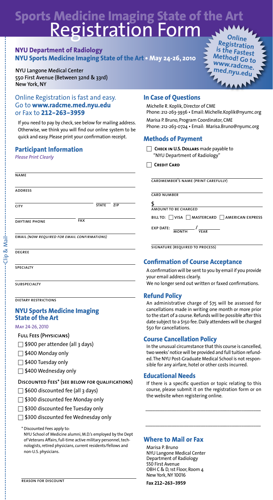## **Sports Medicine Imaging State of the Art** Registration Form

#### **NYU Department of Radiology NYU Sports Medicine Imaging State of the Art • May 24-26, 2010**

**NYU Langone Medical Center 550 First Avenue (Between 32nd & 33rd) New York, NY**

#### Online Registration is fast and easy. Go to **www.radcme.med.nyu.edu** or Fax to **212-263-3959**

If you need to pay by check, see below for mailing address. Otherwise, we think you will find our online system to be quick and easy. Please print your confirmation receipt.

#### **Participant Information**

*Please Print Clearly*

| <b>NAME</b>                                         |            |              |     |  |
|-----------------------------------------------------|------------|--------------|-----|--|
| <b>ADDRESS</b>                                      |            |              |     |  |
| <b>CITY</b>                                         |            | <b>STATE</b> | ZIP |  |
| <b>DAYTIME PHONE</b>                                | <b>FAX</b> |              |     |  |
| <b>EMAIL (NOW REQUIRED FOR EMAIL CONFIRMATIONS)</b> |            |              |     |  |
| <b>DEGREE</b>                                       |            |              |     |  |
|                                                     |            |              |     |  |

**SUBSPECIALTY** 

DIETARY RESTRICTIONS

#### **NYU Sports Medicine Imaging State of the Art**

#### May 24-26, 2010

- **Full Fees (Physicians)**
- $\Box$  \$900 per attendee (all 3 days)
- $\Box$  \$400 Monday only
- $\Box$  \$400 Tuesday only
- □ \$400 Wednesday only

#### **Discounted Fees\* (see below for qualifications)**

- $\Box$  \$600 discounted fee (all 3 days)
- □ \$300 discounted fee Monday only
- □ \$300 discounted fee Tuesday only
- $\Box$  \$300 discounted fee Wednesday only

\* Discounted Fees apply to: NYU School of Medicine alumni, M.D.'s employed by the Dept of Veterans Affairs, full-time active military personnel, technologists, retired physicians, current residents/fellows and non-U.S. physicians.



#### **In Case of Questions**

Michelle R. Koplik, Director of CME Phone: 212-263-3936 • Email: Michelle.Koplik@nyumc.org Marisa P. Bruno, Program Coordinator, CME

Phone: 212-263-0724 • Email: Marisa.Bruno@nyumc.org

#### **Methods of Payment**

□ **Check in U.S.Dollars** made payable to "NYU Department of Radiology"

□ **Credit Card**

cardmember's name (print carefully)

card number

\$

amount to be charged

bill to: □ visa □ mastercard □ american express

EXP DATE:  $\frac{1}{MONTH}$  /  $\frac{1}{YEAR}$ 

signature (required to process)

#### **Confirmation of Course Acceptance**

confirmation will be sent to you by email if you provide your email address clearly.

#### We no longer send out written or faxed confirmations.

#### **Refund Policy**

An administrative charge of \$75 will be assessed for cancellations made in writing one month or more prior to the start of a course. Refunds will be possible after this date subject to a \$150 fee.Daily attendees will be charged \$50 for cancellations.

#### **Course Cancellation Policy**

In the unusual circumstance that this course is cancelled, two weeks' notice will be provided and full tuition refunded.The NYU Post-Graduate Medical School is not responsible for any airfare, hotel or other costs incurred.

#### **Educational Needs**

If there is a specific question or topic relating to this course, please submit it on the registration form or on the website when registering online.

\_\_\_\_\_\_\_\_\_\_\_\_\_\_\_\_\_\_\_\_\_\_\_\_\_\_\_\_\_\_\_\_\_\_\_\_\_\_\_\_\_\_\_\_\_\_\_\_

\_\_\_\_\_\_\_\_\_\_\_\_\_\_\_\_\_\_\_\_\_\_\_\_\_\_\_\_\_\_\_\_\_\_\_\_\_\_\_\_\_\_\_\_\_\_\_\_

#### **Where to Mail or Fax**

Marisa P. Bruno NYU Langone Medical Center Department of Radiology 550 First Avenue OBH C & D, 1st Floor, Room 4 New York, NY 10016

**Fax 212-263-3959**

& Mail